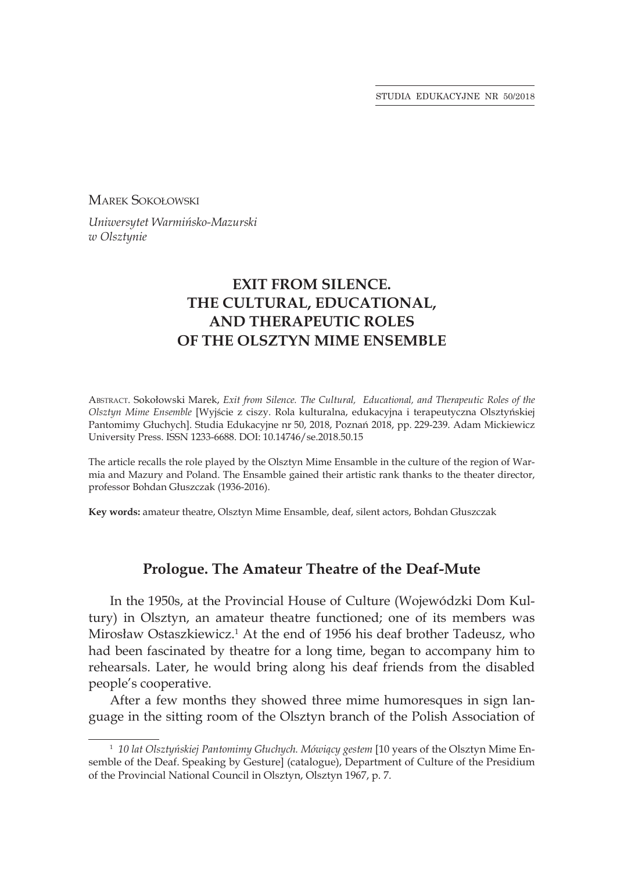STUDIA EDUKACYJNE NR 50/2018

Marek Sokołowski

*Uniwersytet Warmińsko-Mazurski w Olsztynie*

# **EXIT FROM SILENCE. THE CULTURAL, EDUCATIONAL,  AND THERAPEUTIC ROLES  OF THE OLSZTYN MIME ENSEMBLE**

Abstract. Sokołowski Marek, *Exit from Silence. The Cultural, Educational, and Therapeutic Roles of the Olsztyn Mime Ensemble* [Wyjście z ciszy. Rola kulturalna, edukacyjna i terapeutyczna Olsztyńskiej Pantomimy Głuchych]. Studia Edukacyjne nr 50, 2018, Poznań 2018, pp. 229-239. Adam Mickiewicz University Press. ISSN 1233-6688. DOI: 10.14746/se.2018.50.15

The article recalls the role played by the Olsztyn Mime Ensamble in the culture of the region of Warmia and Mazury and Poland. The Ensamble gained their artistic rank thanks to the theater director, professor Bohdan Głuszczak (1936-2016).

**Key words:** amateur theatre, Olsztyn Mime Ensamble, deaf, silent actors, Bohdan Głuszczak

## **Prologue. The Amateur Theatre of the Deaf-Mute**

In the 1950s, at the Provincial House of Culture (Wojewódzki Dom Kultury) in Olsztyn, an amateur theatre functioned; one of its members was Mirosław Ostaszkiewicz.<sup>1</sup> At the end of 1956 his deaf brother Tadeusz, who had been fascinated by theatre for a long time, began to accompany him to rehearsals. Later, he would bring along his deaf friends from the disabled people's cooperative.

After a few months they showed three mime humoresques in sign language in the sitting room of the Olsztyn branch of the Polish Association of

<sup>1</sup> *10 lat Olsztyńskiej Pantomimy Głuchych. Mówiący gestem* [10 years of the Olsztyn Mime Ensemble of the Deaf. Speaking by Gesture] (catalogue), Department of Culture of the Presidium of the Provincial National Council in Olsztyn, Olsztyn 1967, p. 7.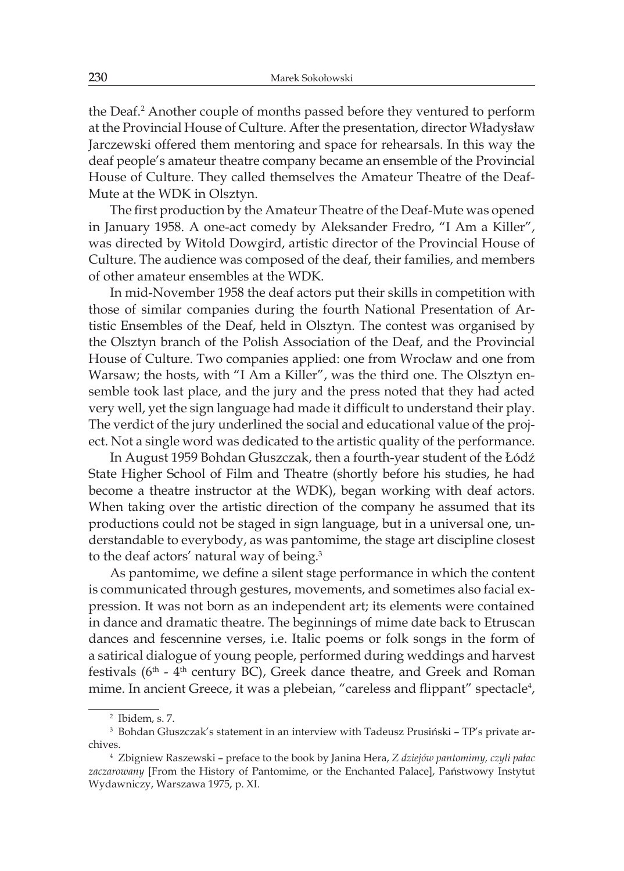the Deaf.<sup>2</sup> Another couple of months passed before they ventured to perform at the Provincial House of Culture. After the presentation, director Władysław Jarczewski offered them mentoring and space for rehearsals. In this way the deaf people's amateur theatre company became an ensemble of the Provincial House of Culture. They called themselves the Amateur Theatre of the Deaf-Mute at the WDK in Olsztyn.

The first production by the Amateur Theatre of the Deaf-Mute was opened in January 1958. A one-act comedy by Aleksander Fredro, "I Am a Killer", was directed by Witold Dowgird, artistic director of the Provincial House of Culture. The audience was composed of the deaf, their families, and members of other amateur ensembles at the WDK.

In mid-November 1958 the deaf actors put their skills in competition with those of similar companies during the fourth National Presentation of Artistic Ensembles of the Deaf, held in Olsztyn. The contest was organised by the Olsztyn branch of the Polish Association of the Deaf, and the Provincial House of Culture. Two companies applied: one from Wrocław and one from Warsaw; the hosts, with "I Am a Killer", was the third one. The Olsztyn ensemble took last place, and the jury and the press noted that they had acted very well, yet the sign language had made it difficult to understand their play. The verdict of the jury underlined the social and educational value of the project. Not a single word was dedicated to the artistic quality of the performance.

In August 1959 Bohdan Głuszczak, then a fourth-year student of the Łódź State Higher School of Film and Theatre (shortly before his studies, he had become a theatre instructor at the WDK), began working with deaf actors. When taking over the artistic direction of the company he assumed that its productions could not be staged in sign language, but in a universal one, understandable to everybody, as was pantomime, the stage art discipline closest to the deaf actors' natural way of being.<sup>3</sup>

As pantomime, we define a silent stage performance in which the content is communicated through gestures, movements, and sometimes also facial expression. It was not born as an independent art; its elements were contained in dance and dramatic theatre. The beginnings of mime date back to Etruscan dances and fescennine verses, i.e. Italic poems or folk songs in the form of a satirical dialogue of young people, performed during weddings and harvest festivals ( $6<sup>th</sup>$  -  $4<sup>th</sup>$  century BC), Greek dance theatre, and Greek and Roman mime. In ancient Greece, it was a plebeian, "careless and flippant" spectacle<sup>4</sup>,

<sup>2</sup> Ibidem, s. 7.

<sup>3</sup> Bohdan Głuszczak's statement in an interview with Tadeusz Prusiński – TP's private archives.

<sup>4</sup> Zbigniew Raszewski – preface to the book by Janina Hera, *Z dziejów pantomimy, czyli pałac zaczarowany* [From the History of Pantomime, or the Enchanted Palace], Państwowy Instytut Wydawniczy, Warszawa 1975, p. XI.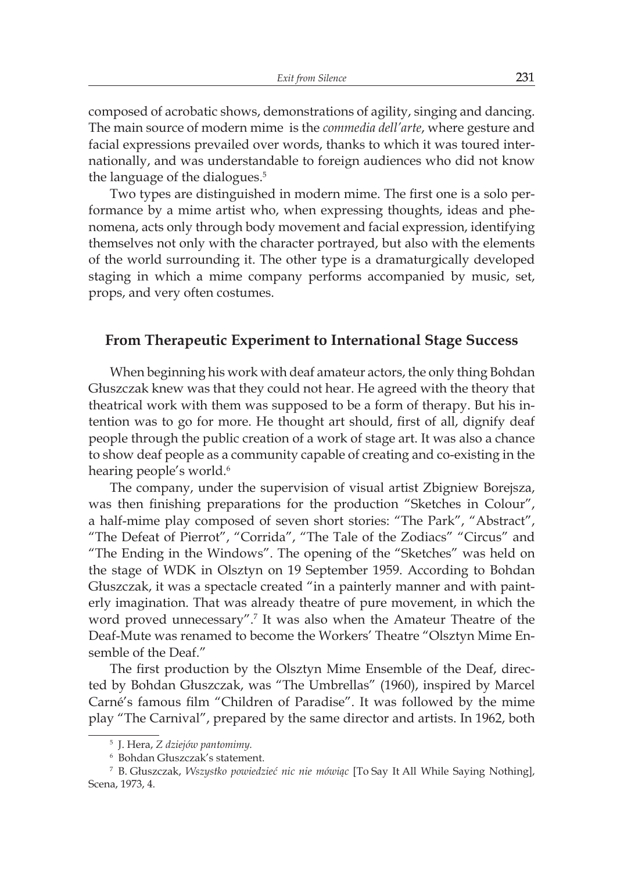composed of acrobatic shows, demonstrations of agility, singing and dancing. The main source of modern mime is the *commedia dell'arte*, where gesture and facial expressions prevailed over words, thanks to which it was toured internationally, and was understandable to foreign audiences who did not know the language of the dialogues.<sup>5</sup>

Two types are distinguished in modern mime. The first one is a solo performance by a mime artist who, when expressing thoughts, ideas and phenomena, acts only through body movement and facial expression, identifying themselves not only with the character portrayed, but also with the elements of the world surrounding it. The other type is a dramaturgically developed staging in which a mime company performs accompanied by music, set, props, and very often costumes.

#### **From Therapeutic Experiment to International Stage Success**

When beginning his work with deaf amateur actors, the only thing Bohdan Głuszczak knew was that they could not hear. He agreed with the theory that theatrical work with them was supposed to be a form of therapy. But his intention was to go for more. He thought art should, first of all, dignify deaf people through the public creation of a work of stage art. It was also a chance to show deaf people as a community capable of creating and co-existing in the hearing people's world.<sup>6</sup>

The company, under the supervision of visual artist Zbigniew Borejsza, was then finishing preparations for the production "Sketches in Colour", a half-mime play composed of seven short stories: "The Park", "Abstract", "The Defeat of Pierrot", "Corrida", "The Tale of the Zodiacs" "Circus" and "The Ending in the Windows". The opening of the "Sketches" was held on the stage of WDK in Olsztyn on 19 September 1959. According to Bohdan Głuszczak, it was a spectacle created "in a painterly manner and with painterly imagination. That was already theatre of pure movement, in which the word proved unnecessary".<sup>7</sup> It was also when the Amateur Theatre of the Deaf-Mute was renamed to become the Workers' Theatre "Olsztyn Mime Ensemble of the Deaf."

The first production by the Olsztyn Mime Ensemble of the Deaf, directed by Bohdan Głuszczak, was "The Umbrellas" (1960), inspired by Marcel Carné's famous film "Children of Paradise". It was followed by the mime play "The Carnival", prepared by the same director and artists. In 1962, both

<sup>5</sup> J. Hera, *Z dziejów pantomimy.*

<sup>6</sup> Bohdan Głuszczak's statement.

<sup>7</sup> B. Głuszczak, *Wszystko powiedzieć nic nie mówiąc* [To Say It All While Saying Nothing], Scena, 1973, 4.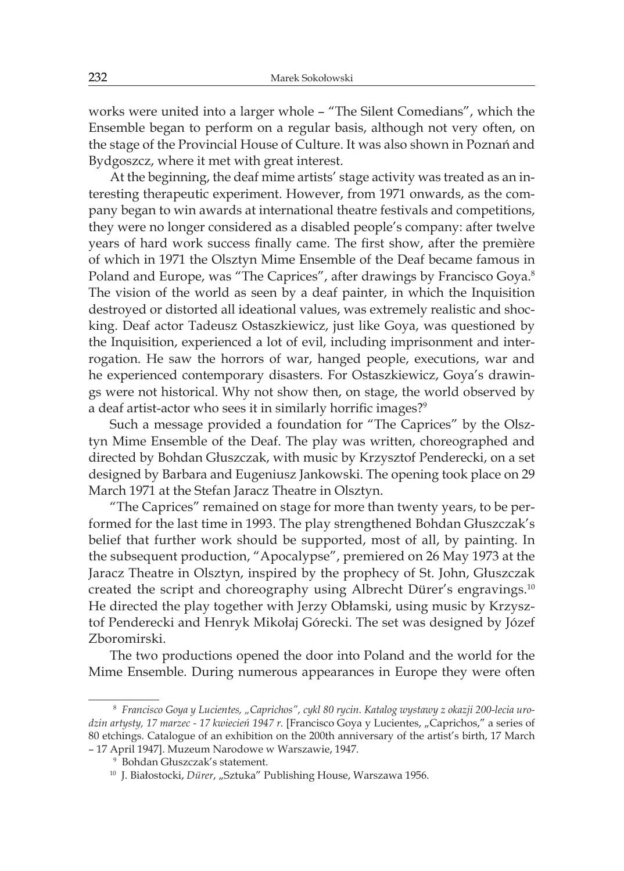works were united into a larger whole – "The Silent Comedians", which the Ensemble began to perform on a regular basis, although not very often, on the stage of the Provincial House of Culture. It was also shown in Poznań and Bydgoszcz, where it met with great interest.

At the beginning, the deaf mime artists' stage activity was treated as an interesting therapeutic experiment. However, from 1971 onwards, as the company began to win awards at international theatre festivals and competitions, they were no longer considered as a disabled people's company: after twelve years of hard work success finally came. The first show, after the première of which in 1971 the Olsztyn Mime Ensemble of the Deaf became famous in Poland and Europe, was "The Caprices", after drawings by Francisco Goya.<sup>8</sup> The vision of the world as seen by a deaf painter, in which the Inquisition destroyed or distorted all ideational values, was extremely realistic and shocking. Deaf actor Tadeusz Ostaszkiewicz, just like Goya, was questioned by the Inquisition, experienced a lot of evil, including imprisonment and interrogation. He saw the horrors of war, hanged people, executions, war and he experienced contemporary disasters. For Ostaszkiewicz, Goya's drawings were not historical. Why not show then, on stage, the world observed by a deaf artist-actor who sees it in similarly horrific images?<sup>9</sup>

Such a message provided a foundation for "The Caprices" by the Olsztyn Mime Ensemble of the Deaf. The play was written, choreographed and directed by Bohdan Głuszczak, with music by Krzysztof Penderecki, on a set designed by Barbara and Eugeniusz Jankowski. The opening took place on 29 March 1971 at the Stefan Jaracz Theatre in Olsztyn.

"The Caprices" remained on stage for more than twenty years, to be performed for the last time in 1993. The play strengthened Bohdan Głuszczak's belief that further work should be supported, most of all, by painting. In the subsequent production, "Apocalypse", premiered on 26 May 1973 at the Jaracz Theatre in Olsztyn, inspired by the prophecy of St. John, Głuszczak created the script and choreography using Albrecht Dürer's engravings.<sup>10</sup> He directed the play together with Jerzy Obłamski, using music by Krzysztof Penderecki and Henryk Mikołaj Górecki. The set was designed by Józef Zboromirski.

The two productions opened the door into Poland and the world for the Mime Ensemble. During numerous appearances in Europe they were often

<sup>8</sup> *Francisco Goya y Lucientes, "Caprichos", cykl 80 rycin. Katalog wystawy z okazji 200-lecia uro*dzin artysty, 17 marzec - 17 kwiecień 1947 r. [Francisco Goya y Lucientes, "Caprichos," a series of 80 etchings. Catalogue of an exhibition on the 200th anniversary of the artist's birth, 17 March – 17 April 1947]. Muzeum Narodowe w Warszawie, 1947.

<sup>9</sup> Bohdan Głuszczak's statement.

<sup>&</sup>lt;sup>10</sup> J. Białostocki, Dürer, "Sztuka" Publishing House, Warszawa 1956.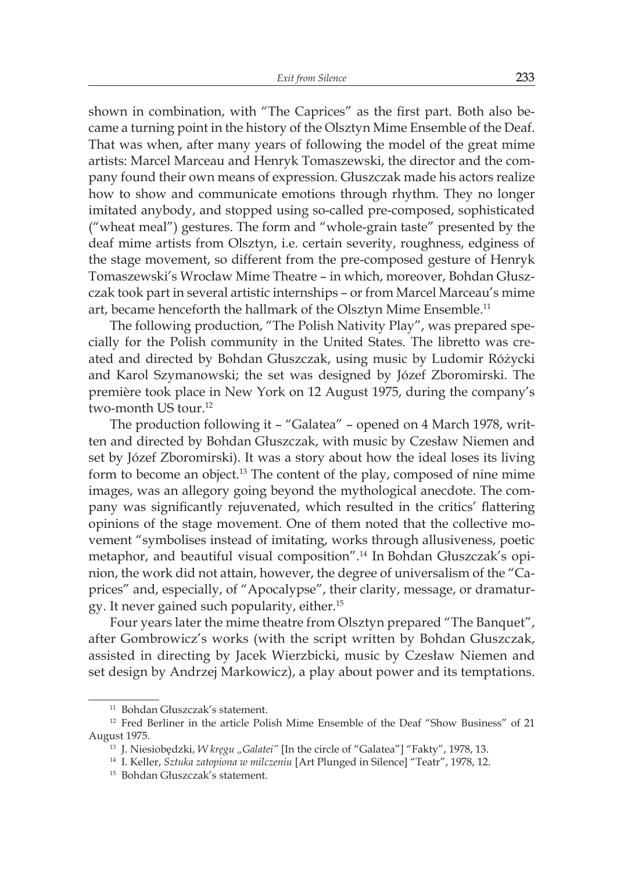shown in combination, with "The Caprices" as the first part. Both also became a turning point in the history of the Olsztyn Mime Ensemble of the Deaf. That was when, after many years of following the model of the great mime artists: Marcel Marceau and Henryk Tomaszewski, the director and the company found their own means of expression. Głuszczak made his actors realize how to show and communicate emotions through rhythm. They no longer imitated anybody, and stopped using so-called pre-composed, sophisticated ("wheat meal") gestures. The form and "whole-grain taste" presented by the deaf mime artists from Olsztyn, i.e. certain severity, roughness, edginess of the stage movement, so different from the pre-composed gesture of Henryk Tomaszewski's Wrocław Mime Theatre – in which, moreover, Bohdan Głuszczak took part in several artistic internships – or from Marcel Marceau's mime art, became henceforth the hallmark of the Olsztyn Mime Ensemble.<sup>11</sup>

The following production, "The Polish Nativity Play", was prepared specially for the Polish community in the United States. The libretto was created and directed by Bohdan Głuszczak, using music by Ludomir Różycki and Karol Szymanowski; the set was designed by Józef Zboromirski. The première took place in New York on 12 August 1975, during the company's two-month US tour.<sup>12</sup>

The production following it – "Galatea" – opened on 4 March 1978, written and directed by Bohdan Głuszczak, with music by Czesław Niemen and set by Józef Zboromirski). It was a story about how the ideal loses its living form to become an object.<sup>13</sup> The content of the play, composed of nine mime images, was an allegory going beyond the mythological anecdote. The company was significantly rejuvenated, which resulted in the critics' flattering opinions of the stage movement. One of them noted that the collective movement "symbolises instead of imitating, works through allusiveness, poetic metaphor, and beautiful visual composition".<sup>14</sup> In Bohdan Głuszczak's opinion, the work did not attain, however, the degree of universalism of the "Caprices" and, especially, of "Apocalypse", their clarity, message, or dramaturgy. It never gained such popularity, either.<sup>15</sup>

Four years later the mime theatre from Olsztyn prepared "The Banquet", after Gombrowicz's works (with the script written by Bohdan Głuszczak, assisted in directing by Jacek Wierzbicki, music by Czesław Niemen and set design by Andrzej Markowicz), a play about power and its temptations.

<sup>11</sup> Bohdan Głuszczak's statement.

<sup>&</sup>lt;sup>12</sup> Fred Berliner in the article Polish Mime Ensemble of the Deaf "Show Business" of 21 August 1975.

<sup>&</sup>lt;sup>13</sup> J. Niesiobędzki, *W kręgu "Galatei"* [In the circle of "Galatea"] "Fakty", 1978, 13.

<sup>14</sup> I. Keller, *Sztuka zatopiona w milczeniu* [Art Plunged in Silence] "Teatr", 1978, 12.

<sup>15</sup> Bohdan Głuszczak's statement.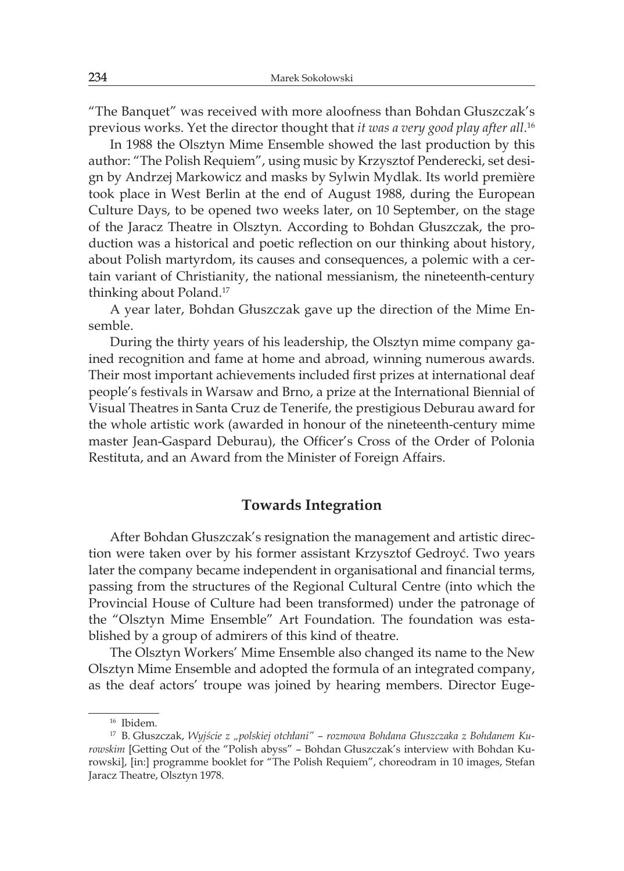"The Banquet" was received with more aloofness than Bohdan Głuszczak's previous works. Yet the director thought that *it was a very good play after all*. 16

In 1988 the Olsztyn Mime Ensemble showed the last production by this author: "The Polish Requiem", using music by Krzysztof Penderecki, set design by Andrzej Markowicz and masks by Sylwin Mydlak. Its world première took place in West Berlin at the end of August 1988, during the European Culture Days, to be opened two weeks later, on 10 September, on the stage of the Jaracz Theatre in Olsztyn. According to Bohdan Głuszczak, the production was a historical and poetic reflection on our thinking about history, about Polish martyrdom, its causes and consequences, a polemic with a certain variant of Christianity, the national messianism, the nineteenth-century thinking about Poland.<sup>17</sup>

A year later, Bohdan Głuszczak gave up the direction of the Mime Ensemble.

During the thirty years of his leadership, the Olsztyn mime company gained recognition and fame at home and abroad, winning numerous awards. Their most important achievements included first prizes at international deaf people's festivals in Warsaw and Brno, a prize at the International Biennial of Visual Theatres in Santa Cruz de Tenerife, the prestigious Deburau award for the whole artistic work (awarded in honour of the nineteenth-century mime master Jean-Gaspard Deburau), the Officer's Cross of the Order of Polonia Restituta, and an Award from the Minister of Foreign Affairs.

### **Towards Integration**

After Bohdan Głuszczak's resignation the management and artistic direction were taken over by his former assistant Krzysztof Gedroyć. Two years later the company became independent in organisational and financial terms, passing from the structures of the Regional Cultural Centre (into which the Provincial House of Culture had been transformed) under the patronage of the "Olsztyn Mime Ensemble" Art Foundation. The foundation was established by a group of admirers of this kind of theatre.

The Olsztyn Workers' Mime Ensemble also changed its name to the New Olsztyn Mime Ensemble and adopted the formula of an integrated company, as the deaf actors' troupe was joined by hearing members. Director Euge-

<sup>16</sup> Ibidem.

<sup>17</sup> B. Głuszczak, *Wyjście z "polskiej otchłani" – rozmowa Bohdana Głuszczaka z Bohdanem Kurowskim* [Getting Out of the "Polish abyss" – Bohdan Głuszczak's interview with Bohdan Kurowski], [in:] programme booklet for "The Polish Requiem", choreodram in 10 images, Stefan Jaracz Theatre, Olsztyn 1978.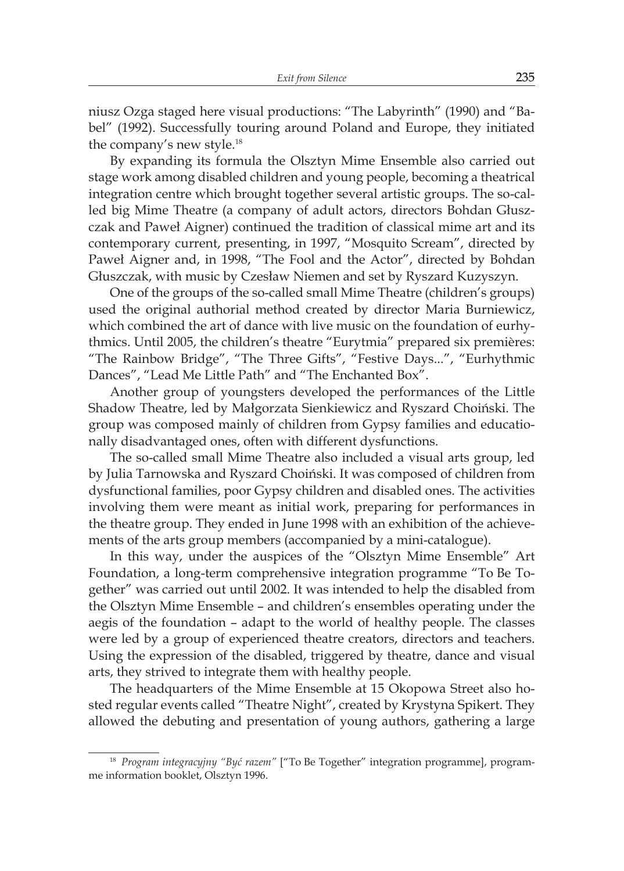niusz Ozga staged here visual productions: "The Labyrinth" (1990) and "Babel" (1992). Successfully touring around Poland and Europe, they initiated the company's new style.<sup>18</sup>

By expanding its formula the Olsztyn Mime Ensemble also carried out stage work among disabled children and young people, becoming a theatrical integration centre which brought together several artistic groups. The so-called big Mime Theatre (a company of adult actors, directors Bohdan Głuszczak and Paweł Aigner) continued the tradition of classical mime art and its contemporary current, presenting, in 1997, "Mosquito Scream", directed by Paweł Aigner and, in 1998, "The Fool and the Actor", directed by Bohdan Głuszczak, with music by Czesław Niemen and set by Ryszard Kuzyszyn.

One of the groups of the so-called small Mime Theatre (children's groups) used the original authorial method created by director Maria Burniewicz, which combined the art of dance with live music on the foundation of eurhythmics. Until 2005, the children's theatre "Eurytmia" prepared six premières: "The Rainbow Bridge", "The Three Gifts", "Festive Days...", "Eurhythmic Dances", "Lead Me Little Path" and "The Enchanted Box".

Another group of youngsters developed the performances of the Little Shadow Theatre, led by Małgorzata Sienkiewicz and Ryszard Choiński. The group was composed mainly of children from Gypsy families and educationally disadvantaged ones, often with different dysfunctions.

The so-called small Mime Theatre also included a visual arts group, led by Julia Tarnowska and Ryszard Choiński. It was composed of children from dysfunctional families, poor Gypsy children and disabled ones. The activities involving them were meant as initial work, preparing for performances in the theatre group. They ended in June 1998 with an exhibition of the achievements of the arts group members (accompanied by a mini-catalogue).

In this way, under the auspices of the "Olsztyn Mime Ensemble" Art Foundation, a long-term comprehensive integration programme "To Be Together" was carried out until 2002. It was intended to help the disabled from the Olsztyn Mime Ensemble – and children's ensembles operating under the aegis of the foundation – adapt to the world of healthy people. The classes were led by a group of experienced theatre creators, directors and teachers. Using the expression of the disabled, triggered by theatre, dance and visual arts, they strived to integrate them with healthy people.

The headquarters of the Mime Ensemble at 15 Okopowa Street also hosted regular events called "Theatre Night", created by Krystyna Spikert. They allowed the debuting and presentation of young authors, gathering a large

<sup>18</sup> *Program integracyjny "Być razem"* ["To Be Together" integration programme], programme information booklet, Olsztyn 1996.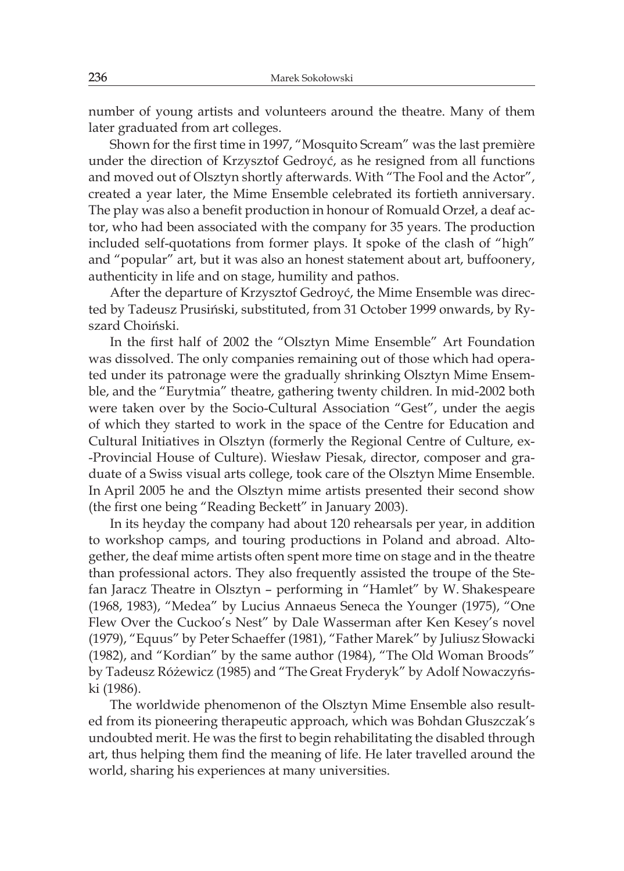number of young artists and volunteers around the theatre. Many of them later graduated from art colleges.

Shown for the first time in 1997, "Mosquito Scream" was the last première under the direction of Krzysztof Gedroyć, as he resigned from all functions and moved out of Olsztyn shortly afterwards. With "The Fool and the Actor", created a year later, the Mime Ensemble celebrated its fortieth anniversary. The play was also a benefit production in honour of Romuald Orzeł, a deaf actor, who had been associated with the company for 35 years. The production included self-quotations from former plays. It spoke of the clash of "high" and "popular" art, but it was also an honest statement about art, buffoonery, authenticity in life and on stage, humility and pathos.

After the departure of Krzysztof Gedroyć, the Mime Ensemble was directed by Tadeusz Prusiński, substituted, from 31 October 1999 onwards, by Ryszard Choiński.

In the first half of 2002 the "Olsztyn Mime Ensemble" Art Foundation was dissolved. The only companies remaining out of those which had operated under its patronage were the gradually shrinking Olsztyn Mime Ensemble, and the "Eurytmia" theatre, gathering twenty children. In mid-2002 both were taken over by the Socio-Cultural Association "Gest", under the aegis of which they started to work in the space of the Centre for Education and Cultural Initiatives in Olsztyn (formerly the Regional Centre of Culture, ex- -Provincial House of Culture). Wiesław Piesak, director, composer and graduate of a Swiss visual arts college, took care of the Olsztyn Mime Ensemble. In April 2005 he and the Olsztyn mime artists presented their second show (the first one being "Reading Beckett" in January 2003).

In its heyday the company had about 120 rehearsals per year, in addition to workshop camps, and touring productions in Poland and abroad. Altogether, the deaf mime artists often spent more time on stage and in the theatre than professional actors. They also frequently assisted the troupe of the Stefan Jaracz Theatre in Olsztyn – performing in "Hamlet" by W. Shakespeare (1968, 1983), "Medea" by Lucius Annaeus Seneca the Younger (1975), "One Flew Over the Cuckoo's Nest" by Dale Wasserman after Ken Kesey's novel (1979), "Equus" by Peter Schaeffer (1981), "Father Marek" by Juliusz Słowacki (1982), and "Kordian" by the same author (1984), "The Old Woman Broods" by Tadeusz Różewicz (1985) and "The Great Fryderyk" by Adolf Nowaczyński (1986).

The worldwide phenomenon of the Olsztyn Mime Ensemble also resulted from its pioneering therapeutic approach, which was Bohdan Głuszczak's undoubted merit. He was the first to begin rehabilitating the disabled through art, thus helping them find the meaning of life. He later travelled around the world, sharing his experiences at many universities.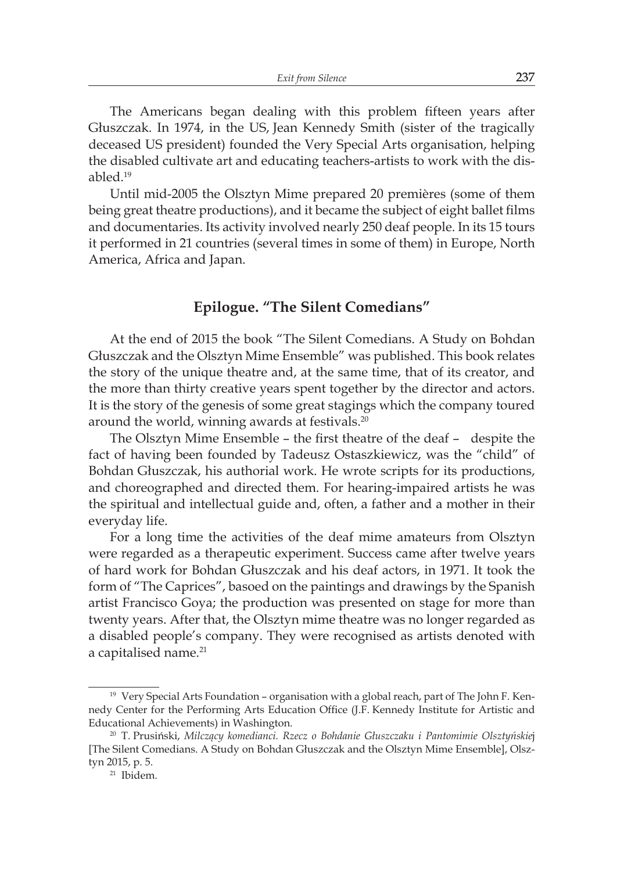The Americans began dealing with this problem fifteen years after Głuszczak. In 1974, in the US, Jean Kennedy Smith (sister of the tragically deceased US president) founded the Very Special Arts organisation, helping the disabled cultivate art and educating teachers-artists to work with the disabled.<sup>19</sup>

Until mid-2005 the Olsztyn Mime prepared 20 premières (some of them being great theatre productions), and it became the subject of eight ballet films and documentaries. Its activity involved nearly 250 deaf people. In its 15 tours it performed in 21 countries (several times in some of them) in Europe, North America, Africa and Japan.

## **Epilogue. "The Silent Comedians"**

At the end of 2015 the book "The Silent Comedians. A Study on Bohdan Głuszczak and the Olsztyn Mime Ensemble" was published. This book relates the story of the unique theatre and, at the same time, that of its creator, and the more than thirty creative years spent together by the director and actors. It is the story of the genesis of some great stagings which the company toured around the world, winning awards at festivals.<sup>20</sup>

The Olsztyn Mime Ensemble – the first theatre of the deaf – despite the fact of having been founded by Tadeusz Ostaszkiewicz, was the "child" of Bohdan Głuszczak, his authorial work. He wrote scripts for its productions, and choreographed and directed them. For hearing-impaired artists he was the spiritual and intellectual guide and, often, a father and a mother in their everyday life.

For a long time the activities of the deaf mime amateurs from Olsztyn were regarded as a therapeutic experiment. Success came after twelve years of hard work for Bohdan Głuszczak and his deaf actors, in 1971. It took the form of "The Caprices", basoed on the paintings and drawings by the Spanish artist Francisco Goya; the production was presented on stage for more than twenty years. After that, the Olsztyn mime theatre was no longer regarded as a disabled people's company. They were recognised as artists denoted with a capitalised name.<sup>21</sup>

<sup>&</sup>lt;sup>19</sup> Very Special Arts Foundation - organisation with a global reach, part of The John F. Kennedy Center for the Performing Arts Education Office (J.F. Kennedy Institute for Artistic and Educational Achievements) in Washington.

<sup>20</sup> T. Prusiński, *Milczący komedianci. Rzecz o Bohdanie Głuszczaku i Pantomimie Olsztyńskie*j [The Silent Comedians. A Study on Bohdan Głuszczak and the Olsztyn Mime Ensemble], Olsztyn 2015, p. 5.

<sup>21</sup> Ibidem.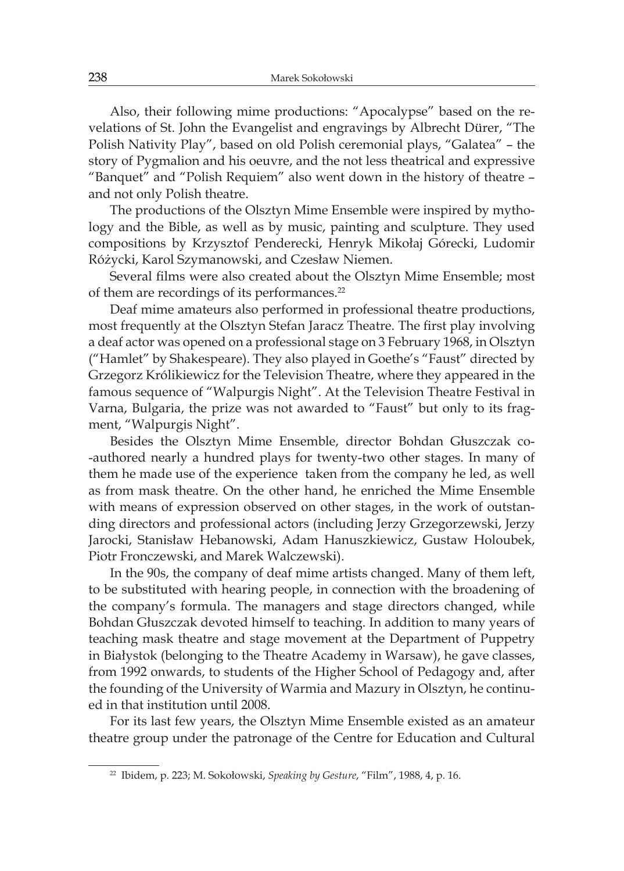Also, their following mime productions: "Apocalypse" based on the revelations of St. John the Evangelist and engravings by Albrecht Dürer, "The Polish Nativity Play", based on old Polish ceremonial plays, "Galatea" – the story of Pygmalion and his oeuvre, and the not less theatrical and expressive "Banquet" and "Polish Requiem" also went down in the history of theatre – and not only Polish theatre.

The productions of the Olsztyn Mime Ensemble were inspired by mythology and the Bible, as well as by music, painting and sculpture. They used compositions by Krzysztof Penderecki, Henryk Mikołaj Górecki, Ludomir Różycki, Karol Szymanowski, and Czesław Niemen.

Several films were also created about the Olsztyn Mime Ensemble; most of them are recordings of its performances.<sup>22</sup>

Deaf mime amateurs also performed in professional theatre productions, most frequently at the Olsztyn Stefan Jaracz Theatre. The first play involving a deaf actor was opened on a professional stage on 3 February 1968, in Olsztyn ("Hamlet" by Shakespeare). They also played in Goethe's "Faust" directed by Grzegorz Królikiewicz for the Television Theatre, where they appeared in the famous sequence of "Walpurgis Night". At the Television Theatre Festival in Varna, Bulgaria, the prize was not awarded to "Faust" but only to its fragment, "Walpurgis Night".

Besides the Olsztyn Mime Ensemble, director Bohdan Głuszczak co- -authored nearly a hundred plays for twenty-two other stages. In many of them he made use of the experience taken from the company he led, as well as from mask theatre. On the other hand, he enriched the Mime Ensemble with means of expression observed on other stages, in the work of outstanding directors and professional actors (including Jerzy Grzegorzewski, Jerzy Jarocki, Stanisław Hebanowski, Adam Hanuszkiewicz, Gustaw Holoubek, Piotr Fronczewski, and Marek Walczewski).

In the 90s, the company of deaf mime artists changed. Many of them left, to be substituted with hearing people, in connection with the broadening of the company's formula. The managers and stage directors changed, while Bohdan Głuszczak devoted himself to teaching. In addition to many years of teaching mask theatre and stage movement at the Department of Puppetry in Białystok (belonging to the Theatre Academy in Warsaw), he gave classes, from 1992 onwards, to students of the Higher School of Pedagogy and, after the founding of the University of Warmia and Mazury in Olsztyn, he continued in that institution until 2008.

For its last few years, the Olsztyn Mime Ensemble existed as an amateur theatre group under the patronage of the Centre for Education and Cultural

<sup>22</sup> Ibidem, p. 223; M. Sokołowski, *Speaking by Gesture*, "Film", 1988, 4, p. 16.